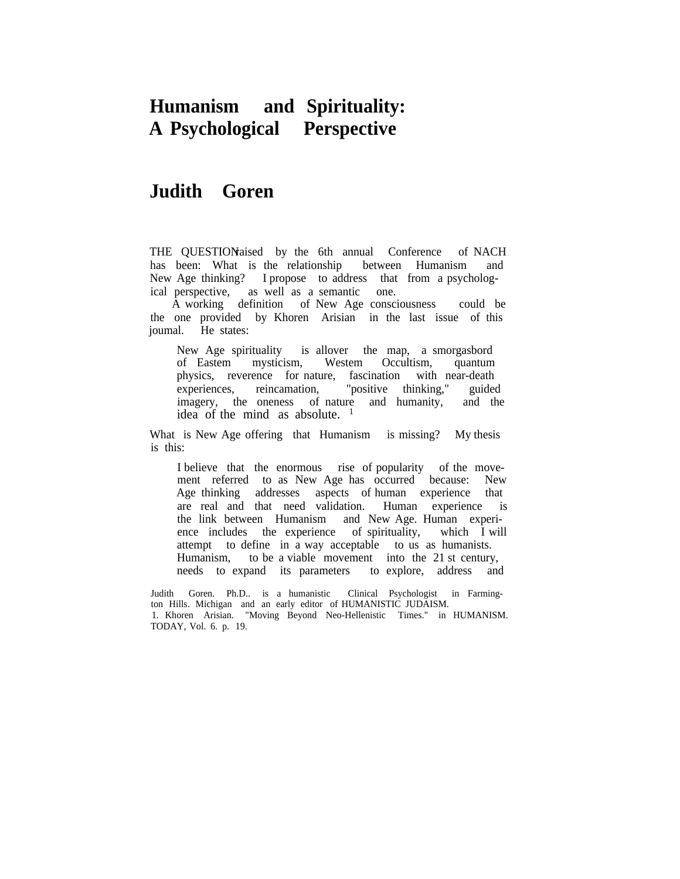# **Humanism and Spirituality: A Psychological Perspective**

# **Judith Goren**

THE QUESTIONaised by the 6th annual Conference of NACH has been: What is the relationship between Humanism and New Age thinking? I propose to address that from a psychological perspective, as well as a semantic one.

A working definition of New Age consciousness could be the one provided by Khoren Arisian in the last issue of this joumal. He states:

New Age spirituality is allover the map, a smorgasbord of Eastem mysticism, Westem Occultism, quantum physics, reverence for nature, fascination with near-death experiences, reincamation, "positive thinking," guided imagery, the oneness of nature and humanity, and the idea of the mind as absolute.  $1$ 

What is New Age offering that Humanism is missing? My thesis is this:

I believe that the enormous rise of popularity of the movement referred to as New Age has occurred because: New Age thinking addresses aspects of human experience that are real and that need validation. Human experience is the link between Humanism and New Age. Human experience includes the experience of spirituality, which I will attempt to define in a way acceptable to us as humanists. Humanism, to be a viable movement into the 21 st century, needs to expand its parameters to explore, address and

Judith Goren. Ph.D.. is a humanistic Clinical Psychologist in Farmington Hills. Michigan and an early editor of HUMANISTIC JUDAISM. 1. Khoren Arisian. "Moving Beyond Neo-Hellenistic Times." in HUMANISM. TODAY, Vol. 6. p. 19.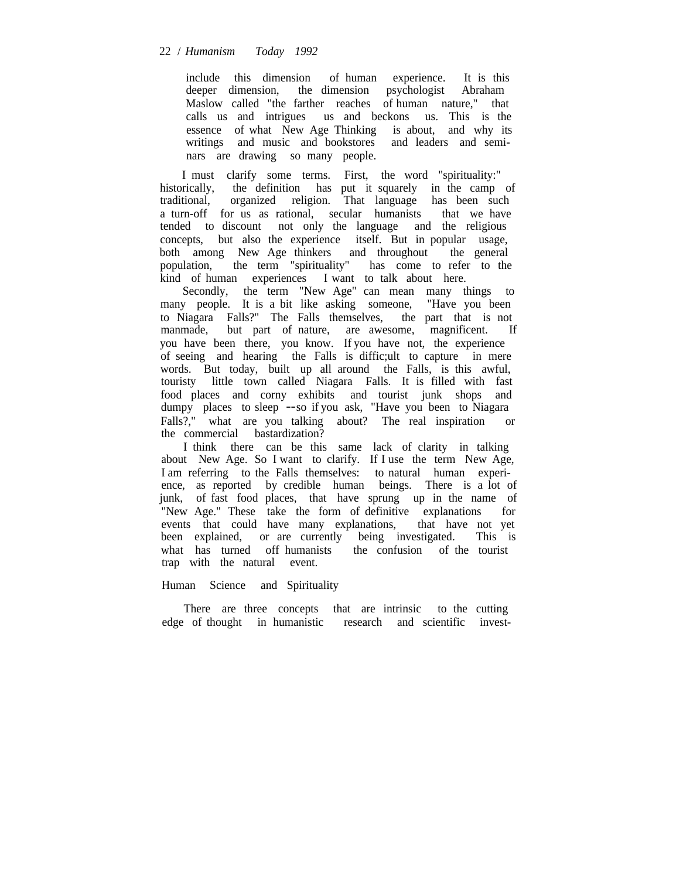include this dimension of human experience. It is this deeper dimension, the dimension psychologist Abraham Maslow called "the farther reaches of human nature," that calls us and intrigues us and beckons us. This is the essence of what New Age Thinking is about, and why its writings and music and bookstores and leaders and seminars are drawing so many people.

I must clarify some terms. First, the word "spirituality:" historically, the definition has put it squarely in the camp of traditional, organized religion. That language has been such a turn-off for us as rational, secular humanists that we have tended to discount not only the language and the religious concepts, but also the experience itself. But in popular usage, both among New Age thinkers and throughout the general population, the term "spirituality" has come to refer to the kind of human experiences I want to talk about here.

Secondly, the term "New Age" can mean many things to many people. It is a bit like asking someone, "Have you been to Niagara Falls?" The Falls themselves, the part that is not manmade, but part of nature, are awesome, magnificent. If you have been there, you know. If you have not, the experience of seeing and hearing the Falls is diffic;ult to capture in mere words. But today, built up all around the Falls, is this awful, touristy little town called Niagara Falls. It is filled with fast food places and corny exhibits and tourist junk shops and dumpy places to sleep --so if you ask, "Have you been to Niagara Falls?," what are you talking about? The real inspiration or the commercial bastardization?

I think there can be this same lack of clarity in talking about New Age. So I want to clarify. If I use the term New Age, I am referring to the Falls themselves: to natural human experience, as reported by credible human beings. There is a lot of junk, of fast food places, that have sprung up in the name of "New Age." These take the form of definitive explanations for events that could have many explanations, that have not yet been explained, or are currently being investigated. This is what has turned off humanists the confusion of the tourist trap with the natural event.

#### Human Science and Spirituality

There are three concepts that are intrinsic to the cutting edge of thought in humanistic research and scientific invest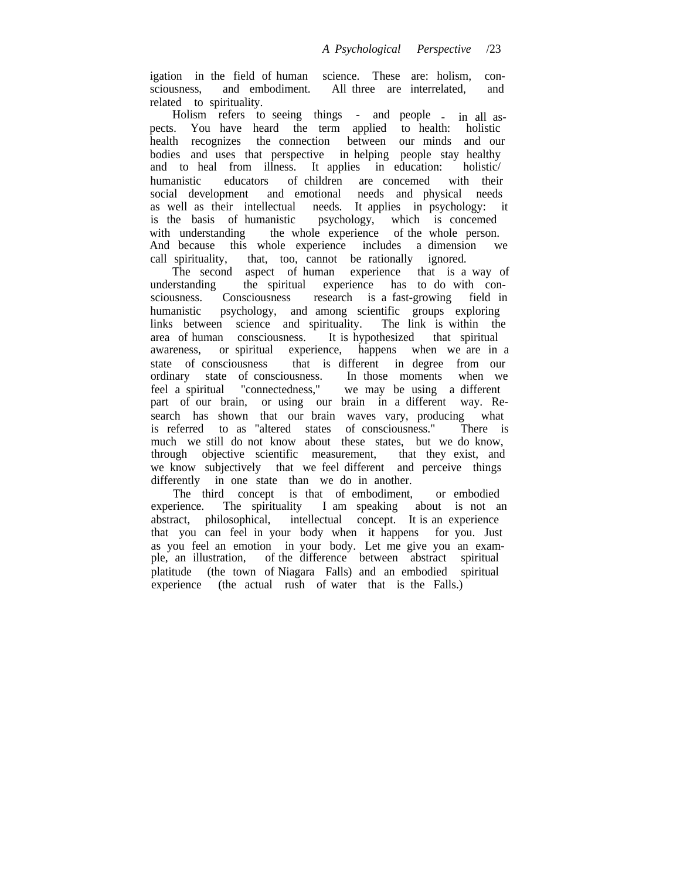igation in the field of human science. These are: holism, consciousness, and embodiment. All three are interrelated, and related to spirituality.

Holism refers to seeing things - and people - in all aspects. You have heard the term applied to health: holistic health recognizes the connection between our minds and our bodies and uses that perspective in helping people stay healthy and to heal from illness. It applies in education: holistic/ humanistic educators of children are concemed with their social development and emotional needs and physical needs as well as their intellectual needs. It applies in psychology: it is the basis of humanistic psychology, which is concemed with understanding the whole experience of the whole person. And because this whole experience includes a dimension we call spirituality, that, too, cannot be rationally ignored.

The second aspect of human experience that is a way of understanding the spiritual experience has to do with conthe spiritual experience has to do with consciousness. Consciousness research is a fast-growing field in humanistic psychology, and among scientific groups exploring links between science and spirituality. The link is within the area of human consciousness. It is hypothesized that spiritual awareness, or spiritual experience, happens when we are in a state of consciousness that is different in degree from our ordinary state of consciousness. In those moments when we feel a spiritual "connectedness," we may be using a different part of our brain, or using our brain in a different way. Research has shown that our brain waves vary, producing what is referred to as "altered states of consciousness." There is is referred to as "altered states of consciousness." much we still do not know about these states, but we do know, through objective scientific measurement, that they exist, and we know subjectively that we feel different and perceive things differently in one state than we do in another.

The third concept is that of embodiment, or embodied experience. The spirituality I am speaking about is not an abstract, philosophical, intellectual concept. It is an experience that you can feel in your body when it happens for you. Just as you feel an emotion in your body. Let me give you an example, an illustration, of the difference between abstract spiritual platitude (the town of Niagara Falls) and an embodied spiritual experience (the actual rush of water that is the Falls.)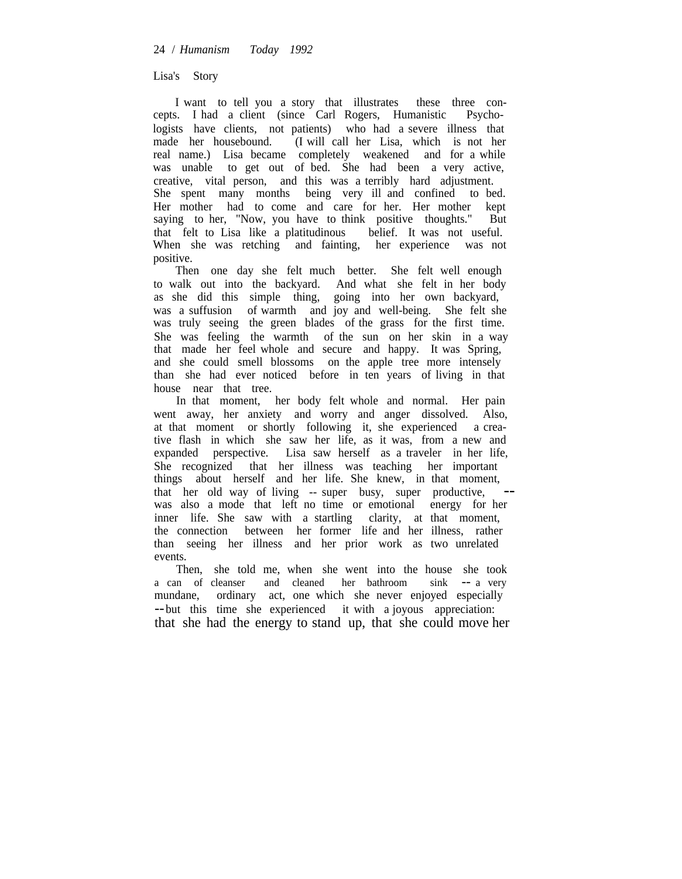## Lisa's Story

I want to tell you a story that illustrates these three concepts. I had a client (since Carl Rogers, Humanistic Psychologists have clients, not patients) who had a severe illness that made her housebound. (I will call her Lisa, which is not her real name.) Lisa became completely weakened and for a while was unable to get out of bed. She had been a very active, creative, vital person, and this was a terribly hard adjustment. She spent many months being very ill and confined to bed. Her mother had to come and care for her. Her mother kept saying to her, "Now, you have to think positive thoughts." But that felt to Lisa like a platitudinous belief. It was not useful. When she was retching and fainting, her experience was not positive.

Then one day she felt much better. She felt well enough to walk out into the backyard. And what she felt in her body as she did this simple thing, going into her own backyard, was a suffusion of warmth and joy and well-being. She felt she was truly seeing the green blades of the grass for the first time. She was feeling the warmth of the sun on her skin in a way that made her feel whole and secure and happy. It was Spring, and she could smell blossoms on the apple tree more intensely than she had ever noticed before in ten years of living in that house near that tree.

In that moment, her body felt whole and normal. Her pain went away, her anxiety and worry and anger dissolved. Also, at that moment or shortly following it, she experienced a creative flash in which she saw her life, as it was, from a new and expanded perspective. Lisa saw herself as a traveler in her life, She recognized that her illness was teaching her important things about herself and her life. She knew, in that moment, that her old way of living -- super busy, super productive, was also a mode that left no time or emotional energy for her inner life. She saw with a startling clarity, at that moment, the connection between her former life and her illness, rather than seeing her illness and her prior work as two unrelated events.

Then, she told me, when she went into the house she took a can of cleanser and cleaned her bathroom sink -- a very mundane, ordinary act, one which she never enjoyed especially --but this time she experienced it with a joyous appreciation: that she had the energy to stand up, that she could move her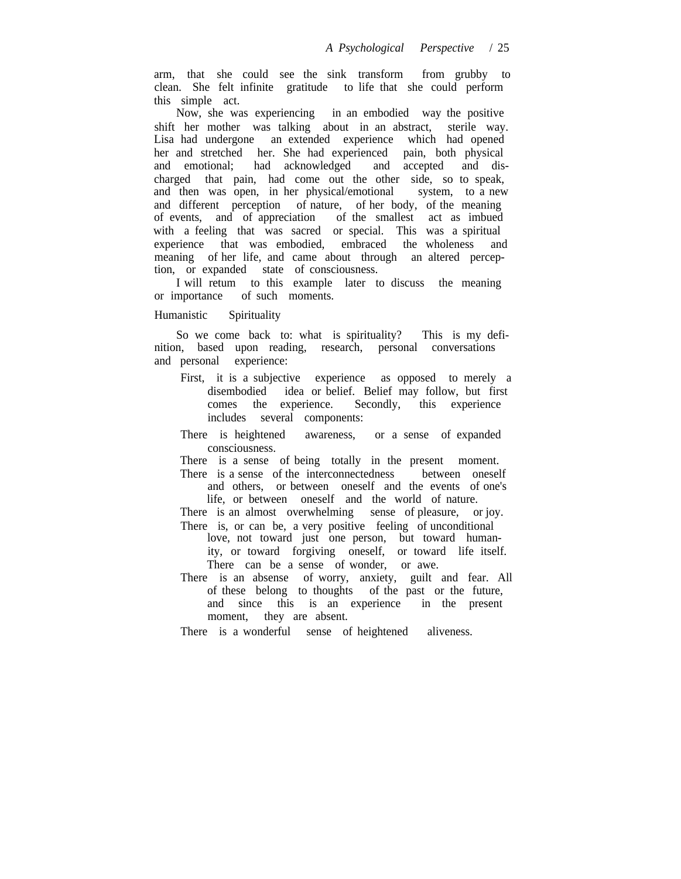arm, that she could see the sink transform from grubby to clean. She felt infinite gratitude to life that she could perform this simple act.

Now, she was experiencing in an embodied way the positive shift her mother was talking about in an abstract, sterile way. Lisa had undergone an extended experience which had opened her and stretched her. She had experienced pain, both physical and emotional; had acknowledged and accepted and disand accepted and discharged that pain, had come out the other side, so to speak, and then was open, in her physical/emotional system, to a new and different perception of nature, of her body, of the meaning of events, and of appreciation of the smallest act as imbued with a feeling that was sacred or special. This was a spiritual experience that was embodied, embraced the wholeness and meaning of her life, and came about through an altered perception, or expanded state of consciousness.

I will retum to this example later to discuss the meaning or importance of such moments.

## Humanistic Spirituality

So we come back to: what is spirituality? This is my definition, based upon reading, research, personal conversations and personal experience:

- First, it is a subjective experience as opposed to merely a disembodied idea or belief. Belief may follow, but first comes the experience. Secondly, this experience Secondly, this experience. includes several components:
- There is heightened awareness, or a sense of expanded consciousness.

There is a sense of being totally in the present moment. There is a sense of the interconnectedness between oneself

and others, or between oneself and the events of one's life, or between oneself and the world of nature.

There is an almost overwhelming sense of pleasure, or joy. There is, or can be, a very positive feeling of unconditional

- love, not toward just one person, but toward humanity, or toward forgiving oneself, or toward life itself. There can be a sense of wonder, or awe.
- There is an absense of worry, anxiety, guilt and fear. All of these belong to thoughts of the past or the future, and since this is an experience in the present moment, they are absent.

There is a wonderful sense of heightened aliveness.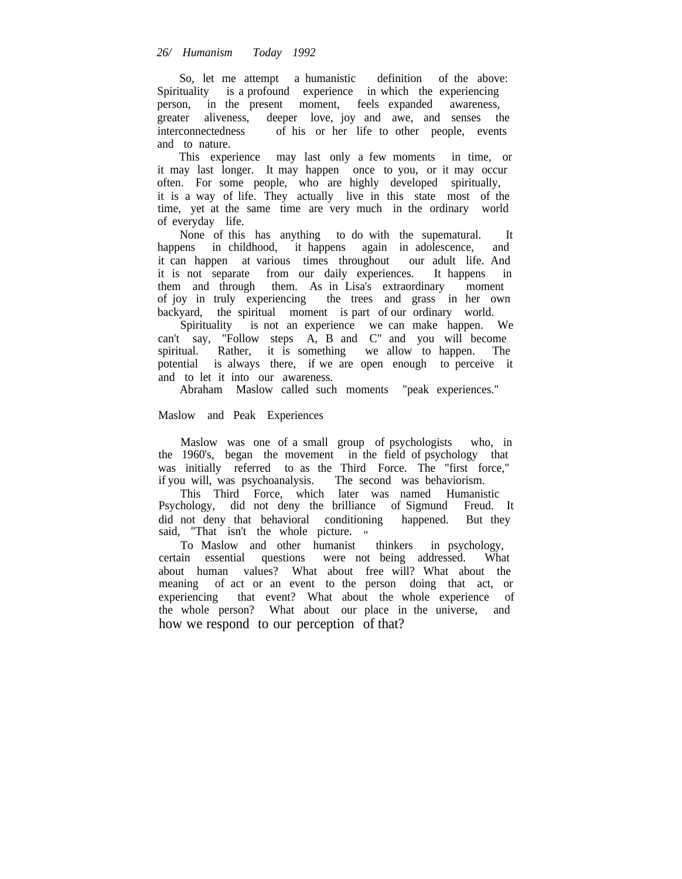So, let me attempt a humanistic definition of the above: Spirituality is a profound experience in which the experiencing person, in the present moment, feels expanded awareness, greater aliveness, deeper love, joy and awe, and senses the interconnectedness of his or her life to other people, events and to nature.

This experience may last only a few moments in time, or it may last longer. It may happen once to you, or it may occur often. For some people, who are highly developed spiritually, it is a way of life. They actually live in this state most of the time, yet at the same time are very much in the ordinary world of everyday life.

None of this has anything to do with the supematural. It happens in childhood, it happens again in adolescence, and it can happen at various times throughout our adult life. And it is not separate from our daily experiences. It happens in them and through them. As in Lisa's extraordinary moment of joy in truly experiencing the trees and grass in her own backyard, the spiritual moment is part of our ordinary world.

Spirituality is not an experience we can make happen. We can't say, "Follow steps A, B and C" and you will become spiritual. Rather, it is something we allow to happen. The potential is always there, if we are open enough to perceive it and to let it into our awareness.

Abraham Maslow called such moments "peak experiences."

## Maslow and Peak Experiences

Maslow was one of a small group of psychologists who, in the 1960's, began the movement in the field of psychology that was initially referred to as the Third Force. The "first force," if you will, was psychoanalysis. The second was behaviorism.

This Third Force, which later was named Humanistic Psychology, did not deny the brilliance of Sigmund Freud. It did not deny that behavioral conditioning happened. But they said, "That isn't the whole picture. "

To Maslow and other humanist thinkers in psychology, certain essential questions were not being addressed. What about human values? What about free will? What about the meaning of act or an event to the person doing that act, or experiencing that event? What about the whole experience of the whole person? What about our place in the universe, and how we respond to our perception of that?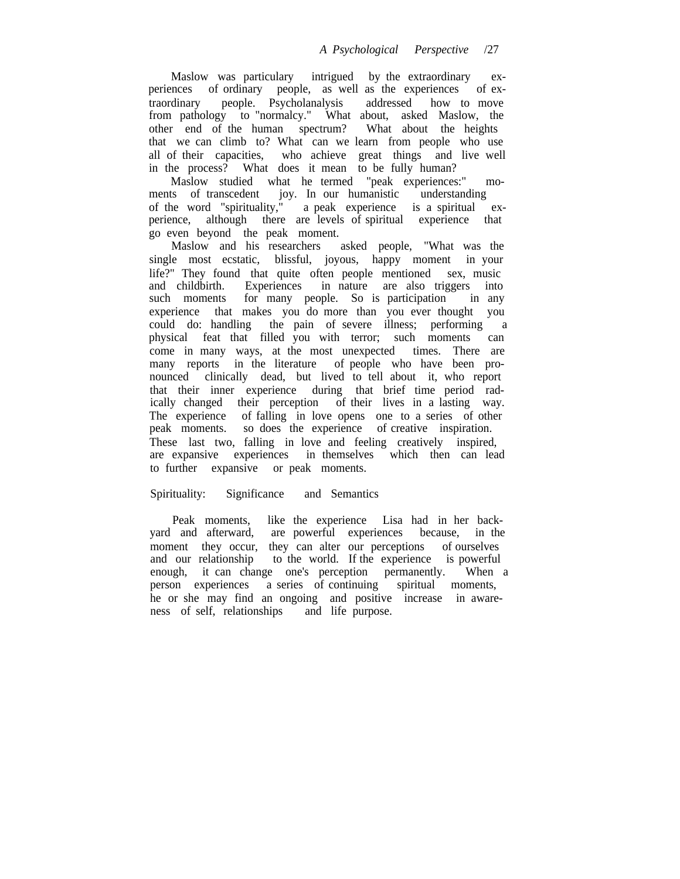Maslow was particulary intrigued by the extraordinary experiences of ordinary people, as well as the experiences of extraordinary people. Psycholanalysis addressed how to move from pathology to "normalcy." What about, asked Maslow, the other end of the human spectrum? What about the heights that we can climb to? What can we learn from people who use all of their capacities, who achieve great things and live well in the process? What does it mean to be fully human?

Maslow studied what he termed "peak experiences:" moments of transcedent joy. In our humanistic understanding of the word "spirituality," a peak experience is a spiritual experience, although there are levels of spiritual experience that go even beyond the peak moment.

Maslow and his researchers asked people, "What was the single most ecstatic, blissful, joyous, happy moment in your life?" They found that quite often people mentioned sex, music and childbirth. Experiences in nature are also triggers into and childbirth. Experiences in nature are also triggers into such moments for many people. So is participation in any for many people. So is participation in any experience that makes you do more than you ever thought you could do: handling the pain of severe illness; performing a physical feat that filled you with terror; such moments can come in many ways, at the most unexpected times. There are many reports in the literature of people who have been pronounced clinically dead, but lived to tell about it, who report that their inner experience during that brief time period radically changed their perception of their lives in a lasting way. The experience of falling in love opens one to a series of other peak moments. so does the experience of creative inspiration. These last two, falling in love and feeling creatively inspired, are expansive experiences in themselves which then can lead to further expansive or peak moments.

## Spirituality: Significance and Semantics

Peak moments, like the experience Lisa had in her backyard and afterward, are powerful experiences because, in the moment they occur, they can alter our perceptions of ourselves and our relationship to the world. If the experience is powerful enough, it can change one's perception permanently. When a person experiences a series of continuing spiritual moments, he or she may find an ongoing and positive increase in awareness of self, relationships and life purpose.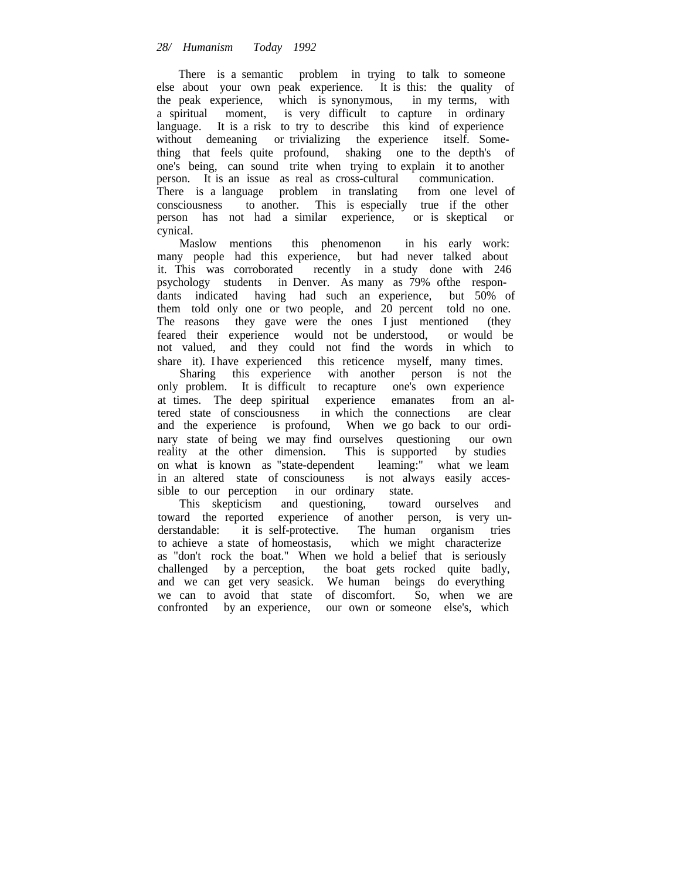There is a semantic problem in trying to talk to someone else about your own peak experience. It is this: the quality of the peak experience, which is synonymous, in my terms, with a spiritual moment, is very difficult to capture in ordinary language. It is a risk to try to describe this kind of experience without demeaning or trivializing the experience itself. Something that feels quite profound, shaking one to the depth's of one's being, can sound trite when trying to explain it to another person. It is an issue as real as cross-cultural communication. There is a language problem in translating from one level of consciousness to another. This is especially true if the other person has not had a similar experience, or is skeptical or cynical.

Maslow mentions this phenomenon in his early work: many people had this experience, but had never talked about it. This was corroborated recently in a study done with 246 psychology students in Denver. As many as 79% ofthe respondants indicated having had such an experience, but 50% of them told only one or two people, and 20 percent told no one. The reasons they gave were the ones I just mentioned (they feared their experience would not be understood, or would be not valued, and they could not find the words in which to share it). I have experienced this reticence myself, many times.

Sharing this experience with another person is not the only problem. It is difficult to recapture one's own experience at times. The deep spiritual experience emanates from an altered state of consciousness in which the connections are clear and the experience is profound, When we go back to our ordinary state of being we may find ourselves questioning our own reality at the other dimension. This is supported by studies on what is known as "state-dependent leaming:" what we leam in an altered state of consciouness is not always easily accessible to our perception in our ordinary state.<br>This skepticism and questioning, toward ourselves and

This skepticism and questioning, toward the reported experience of another person, is very understandable: it is self-protective. The human organism tries to achieve a state of homeostasis, which we might characterize as "don't rock the boat." When we hold a belief that is seriously challenged by a perception, the boat gets rocked quite badly, and we can get very seasick. We human beings do everything we can to avoid that state of discomfort. So, when we are confronted by an experience, our own or someone else's, which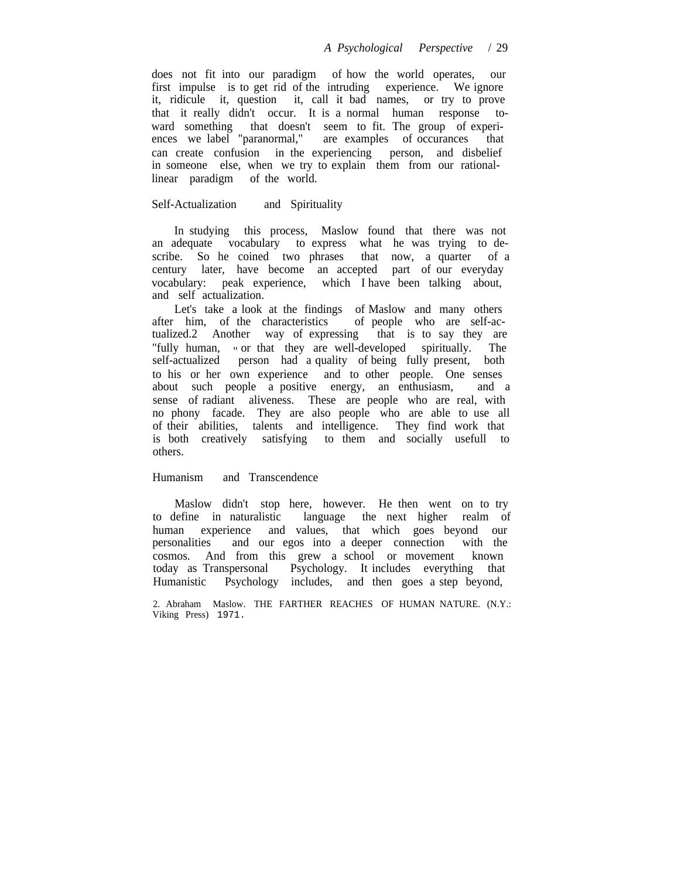does not fit into our paradigm of how the world operates, our first impulse is to get rid of the intruding experience. We ignore it, ridicule it, question it, call it bad names, or try to prove that it really didn't occur. It is a normal human response toward something that doesn't seem to fit. The group of experiences we label "paranormal," are examples of occurances that can create confusion in the experiencing person, and disbelief in someone else, when we try to explain them from our rationallinear paradigm of the world.

#### Self-Actualization and Spirituality

In studying this process, Maslow found that there was not an adequate vocabulary to express what he was trying to describe. So he coined two phrases that now, a quarter of a century later, have become an accepted part of our everyday vocabulary: peak experience, which I have been talking about, and self actualization.

Let's take a look at the findings of Maslow and many others after him, of the characteristics of people who are self-actualized.2 Another way of expressing that is to say they are "fully human, " or that they are well-developed spiritually. The self-actualized person had a quality of being fully present, both to his or her own experience and to other people. One senses about such people a positive energy, an enthusiasm, and a sense of radiant aliveness. These are people who are real, with no phony facade. They are also people who are able to use all of their abilities, talents and intelligence. They find work that is both creatively satisfying to them and socially usefull to others.

## Humanism and Transcendence

Maslow didn't stop here, however. He then went on to try to define in naturalistic language the next higher realm of human experience and values, that which goes beyond our personalities and our egos into a deeper connection with the cosmos. And from this grew a school or movement known today as Transpersonal Psychology. It includes everything that Humanistic Psychology includes, and then goes a step beyond,

2. Abraham Maslow. THE FARTHER REACHES OF HUMAN NATURE. (N.Y.: Viking Press) 1971.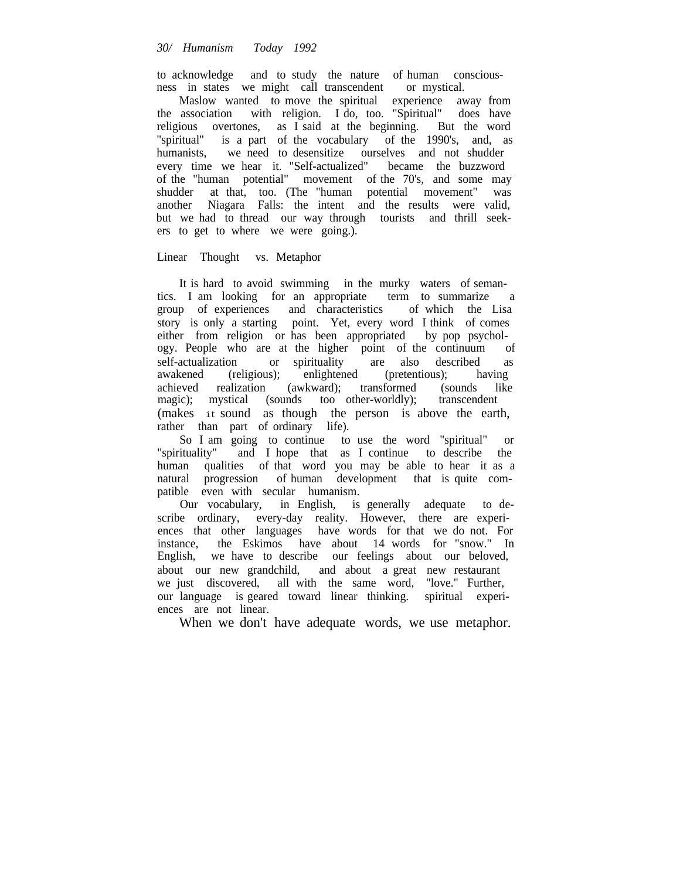to acknowledge and to study the nature of human consciousness in states we might call transcendent or mystical.

Maslow wanted to move the spiritual experience away from the association with religion. I do, too. "Spiritual" does have religious overtones, as I said at the beginning. But the word "spiritual" is a part of the vocabulary of the 1990's, and, as humanists, we need to desensitize ourselves and not shudder every time we hear it. "Self-actualized" became the buzzword of the "human potential" movement of the 70's, and some may shudder at that, too. (The "human potential movement" was another Niagara Falls: the intent and the results were valid, but we had to thread our way through tourists and thrill seekers to get to where we were going.).

## Linear Thought vs. Metaphor

It is hard to avoid swimming in the murky waters of seman-<br>I am looking for an appropriate term to summarize a tics. I am looking for an appropriate group of experiences and characteristics of which the Lisa story is only a starting point. Yet, every word I think of comes either from religion or has been appropriated by pop psychology. People who are at the higher point of the continuum of self-actualization or spirituality are also described as awakened (religious); enlightened (pretentious); having achieved realization (awkward); transformed (sounds like magic); mystical (sounds too other-worldly); transcendent (makes it sound as though the person is above the earth, rather than part of ordinary life).

So I am going to continue to use the word "spiritual" or "spirituality" and I hope that as I continue to describe the and I hope that as I continue to describe the human qualities of that word you may be able to hear it as a natural progression of human development that is quite compatible even with secular humanism.

Our vocabulary, in English, is generally adequate to describe ordinary, every-day reality. However, there are experiences that other languages have words for that we do not. For instance, the Eskimos have about 14 words for "snow." In English, we have to describe our feelings about our beloved, about our new grandchild, and about a great new restaurant we just discovered, all with the same word, "love." Further, our language is geared toward linear thinking. spiritual experiences are not linear.

When we don't have adequate words, we use metaphor.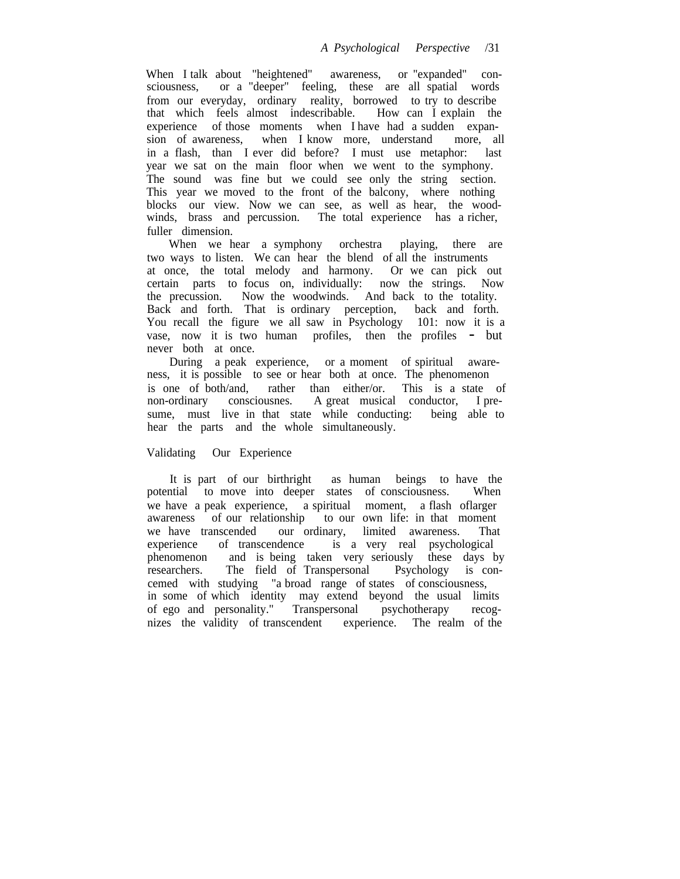When I talk about "heightened" awareness, or "expanded" consciousness, or a "deeper" feeling, these are all spatial words from our everyday, ordinary reality, borrowed to try to describe that which feels almost indescribable. How can I explain the experience of those moments when I have had a sudden expansion of awareness, when I know more, understand more, all in a flash, than I ever did before? I must use metaphor: last year we sat on the main floor when we went to the symphony. The sound was fine but we could see only the string section. This year we moved to the front of the balcony, where nothing blocks our view. Now we can see, as well as hear, the woodwinds, brass and percussion. The total experience has a richer, fuller dimension.

When we hear a symphony orchestra playing, there are two ways to listen. We can hear the blend of all the instruments at once, the total melody and harmony. Or we can pick out certain parts to focus on, individually: now the strings. Now the precussion. Now the woodwinds. And back to the totality. Back and forth. That is ordinary perception, back and forth. You recall the figure we all saw in Psychology 101: now it is a vase, now it is two human profiles, then the profiles - but never both at once.

During a peak experience, or a moment of spiritual awareness, it is possible to see or hear both at once. The phenomenon is one of both/and, rather than either/or. This is a state of non-ordinary consciousnes. A great musical conductor, I presume, must live in that state while conducting: being able to hear the parts and the whole simultaneously.

## Validating Our Experience

It is part of our birthright as human beings to have the potential to move into deeper states of consciousness. When we have a peak experience, a spiritual moment, a flash oflarger awareness of our relationship to our own life: in that moment we have transcended our ordinary, limited awareness. That experience of transcendence is a very real psychological is a very real psychological phenomenon and is being taken very seriously these days by researchers. The field of Transpersonal Psychology is concemed with studying "a broad range of states of consciousness, in some of which identity may extend beyond the usual limits of ego and personality." Transpersonal psychotherapy recognizes the validity of transcendent experience. The realm of the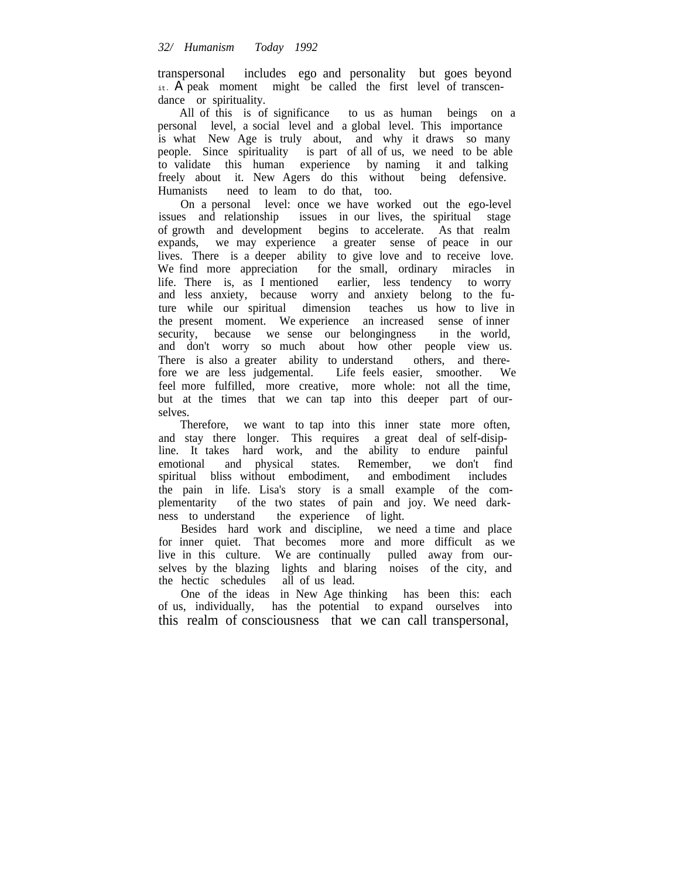transpersonal includes ego and personality but goes beyond it. A peak moment might be called the first level of transcendance or spirituality.

All of this is of significance to us as human beings on a personal level, a social level and a global level. This importance is what New Age is truly about, and why it draws so many people. Since spirituality is part of all of us, we need to be able to validate this human experience by naming it and talking freely about it. New Agers do this without being defensive. Humanists need to leam to do that, too.

On a personal level: once we have worked out the ego-level issues and relationship issues in our lives, the spiritual stage of growth and development begins to accelerate. As that realm expands, we may experience a greater sense of peace in our lives. There is a deeper ability to give love and to receive love. We find more appreciation for the small, ordinary miracles in life. There is, as I mentioned earlier, less tendency to worry and less anxiety, because worry and anxiety belong to the future while our spiritual dimension teaches us how to live in the present moment. We experience an increased sense of inner security, because we sense our belongingness in the world, and don't worry so much about how other people view us. There is also a greater ability to understand others, and therefore we are less judgemental. Life feels easier, smoother. We feel more fulfilled, more creative, more whole: not all the time, but at the times that we can tap into this deeper part of ourselves.

Therefore, we want to tap into this inner state more often, and stay there longer. This requires a great deal of self-disipline. It takes hard work, and the ability to endure painful<br>emotional and physical states. Remember, we don't find emotional and physical states. Remember, we don't find spiritual bliss without embodiment, and embodiment includes the pain in life. Lisa's story is a small example of the complementarity of the two states of pain and joy. We need darkness to understand the experience of light.

Besides hard work and discipline, we need a time and place for inner quiet. That becomes more and more difficult as we live in this culture. We are continually pulled away from ourselves by the blazing lights and blaring noises of the city, and the hectic schedules all of us lead.

One of the ideas in New Age thinking has been this: each of us, individually, has the potential to expand ourselves into this realm of consciousness that we can call transpersonal,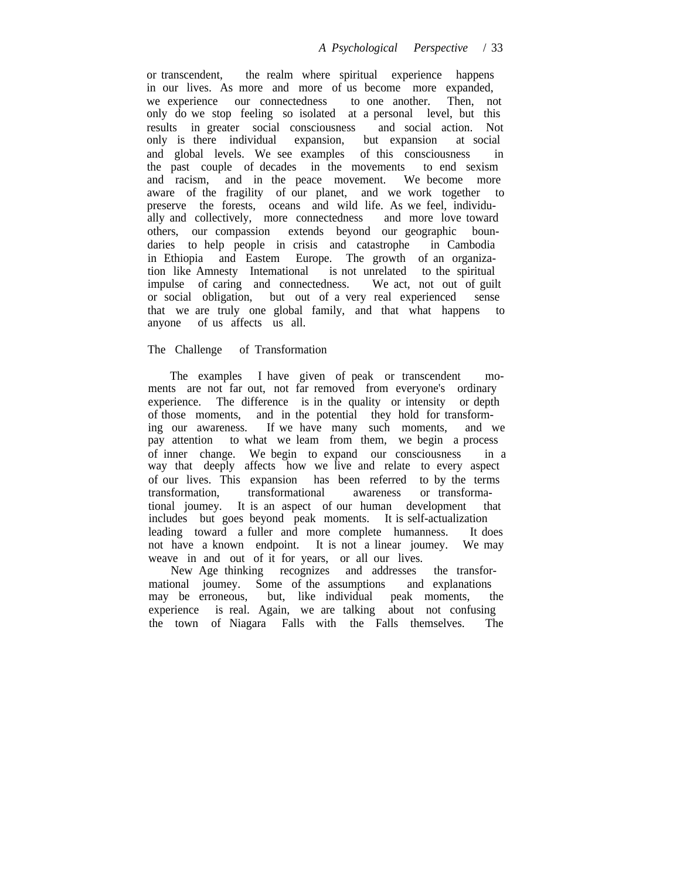or transcendent, the realm where spiritual experience happens in our lives. As more and more of us become more expanded, we experience our connectedness to one another. Then, not only do we stop feeling so isolated at a personal level, but this results in greater social consciousness and social action. Not only is there individual expansion, but expansion at social and global levels. We see examples of this consciousness in the past couple of decades in the movements to end sexism and racism, and in the peace movement. We become more aware of the fragility of our planet, and we work together to preserve the forests, oceans and wild life. As we feel, individually and collectively, more connectedness and more love toward others, our compassion extends beyond our geographic boundaries to help people in crisis and catastrophe in Cambodia in Ethiopia and Eastem Europe. The growth of an organization like Amnesty Intemational is not unrelated to the spiritual impulse of caring and connectedness. We act, not out of guilt or social obligation, but out of a very real experienced sense that we are truly one global family, and that what happens to anyone of us affects us all.

## The Challenge of Transformation

The examples I have given of peak or transcendent moments are not far out, not far removed from everyone's ordinary experience. The difference is in the quality or intensity or depth of those moments, and in the potential they hold for transforming our awareness. If we have many such moments, and we pay attention to what we leam from them, we begin a process of inner change. We begin to expand our consciousness in a way that deeply affects how we live and relate to every aspect of our lives. This expansion has been referred to by the terms transformation, transformational awareness or transformational joumey. It is an aspect of our human development that includes but goes beyond peak moments. It is self-actualization leading toward a fuller and more complete humanness. It does not have a known endpoint. It is not a linear joumey. We may weave in and out of it for years, or all our lives.

New Age thinking recognizes and addresses the transformational joumey. Some of the assumptions and explanations may be erroneous, but, like individual peak moments, the experience is real. Again, we are talking about not confusing the town of Niagara Falls with the Falls themselves. The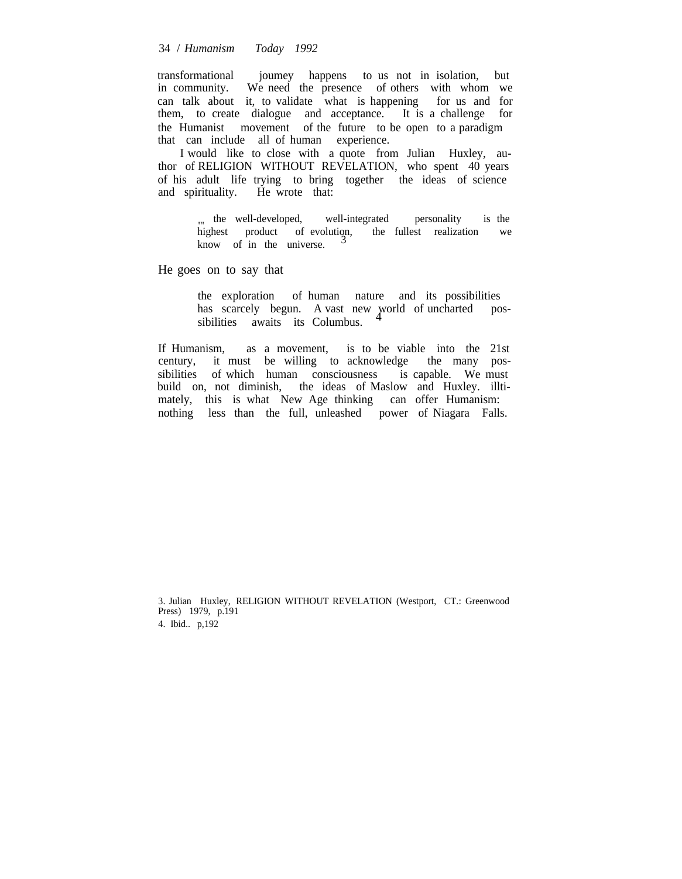#### 34 / *Humanism Today 1992*

transformational joumey happens to us not in isolation, but in community. We need the presence of others with whom we can talk about it, to validate what is happening for us and for them, to create dialogue and acceptance. It is a challenge for the Humanist movement of the future to be open to a paradigm that can include all of human experience.

I would like to close with a quote from Julian Huxley, author of RELIGION WITHOUT REVELATION, who spent 40 years of his adult life trying to bring together the ideas of science and spirituality. He wrote that:

> " the well-developed, well-integrated personality is the highest product of evolution, the fullest realization we highest product of evolution, the fullest realization know of in the universe.

He goes on to say that

the exploration of human nature and its possibilities<br>has scarcely begun. A vast new world of uncharted poshas scarcely begun. A vast new world of uncharted sibilities awaits its Columbus.

If Humanism, as a movement, is to be viable into the 21st century, it must be willing to acknowledge the many possibilities of which human consciousness is capable. We must build on, not diminish, the ideas of Maslow and Huxley. illtimately, this is what New Age thinking can offer Humanism: nothing less than the full, unleashed power of Niagara Falls.

3. Julian Huxley, RELIGION WITHOUT REVELATION (Westport, CT.: Greenwood Press) 1979, p.191 4. Ibid.. p,192